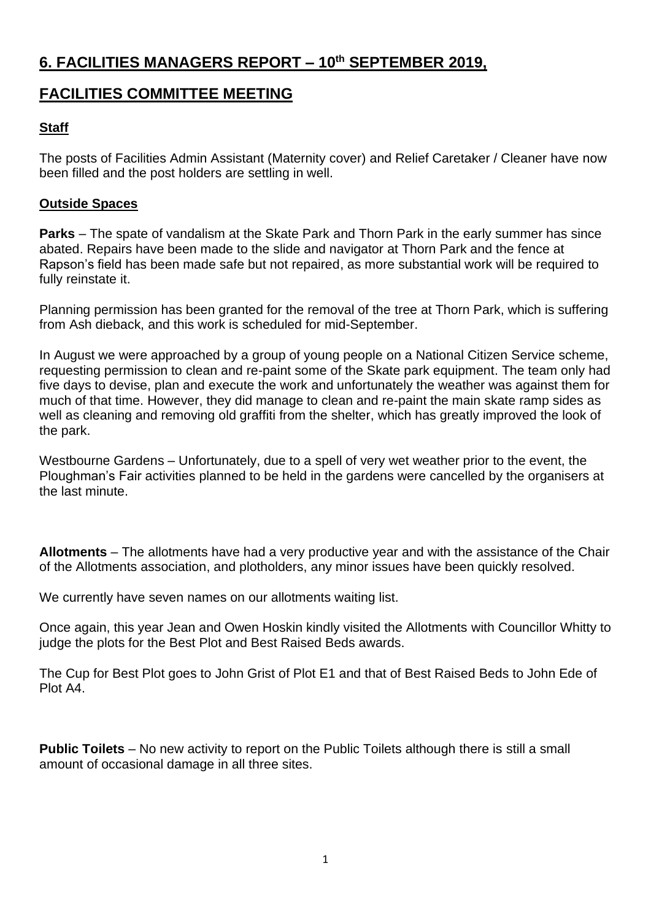# **6. FACILITIES MANAGERS REPORT – 10th SEPTEMBER 2019,**

# **FACILITIES COMMITTEE MEETING**

# **Staff**

The posts of Facilities Admin Assistant (Maternity cover) and Relief Caretaker / Cleaner have now been filled and the post holders are settling in well.

# **Outside Spaces**

**Parks** – The spate of vandalism at the Skate Park and Thorn Park in the early summer has since abated. Repairs have been made to the slide and navigator at Thorn Park and the fence at Rapson's field has been made safe but not repaired, as more substantial work will be required to fully reinstate it.

Planning permission has been granted for the removal of the tree at Thorn Park, which is suffering from Ash dieback, and this work is scheduled for mid-September.

In August we were approached by a group of young people on a National Citizen Service scheme, requesting permission to clean and re-paint some of the Skate park equipment. The team only had five days to devise, plan and execute the work and unfortunately the weather was against them for much of that time. However, they did manage to clean and re-paint the main skate ramp sides as well as cleaning and removing old graffiti from the shelter, which has greatly improved the look of the park.

Westbourne Gardens – Unfortunately, due to a spell of very wet weather prior to the event, the Ploughman's Fair activities planned to be held in the gardens were cancelled by the organisers at the last minute.

**Allotments** – The allotments have had a very productive year and with the assistance of the Chair of the Allotments association, and plotholders, any minor issues have been quickly resolved.

We currently have seven names on our allotments waiting list.

Once again, this year Jean and Owen Hoskin kindly visited the Allotments with Councillor Whitty to judge the plots for the Best Plot and Best Raised Beds awards.

The Cup for Best Plot goes to John Grist of Plot E1 and that of Best Raised Beds to John Ede of Plot A4.

**Public Toilets** – No new activity to report on the Public Toilets although there is still a small amount of occasional damage in all three sites.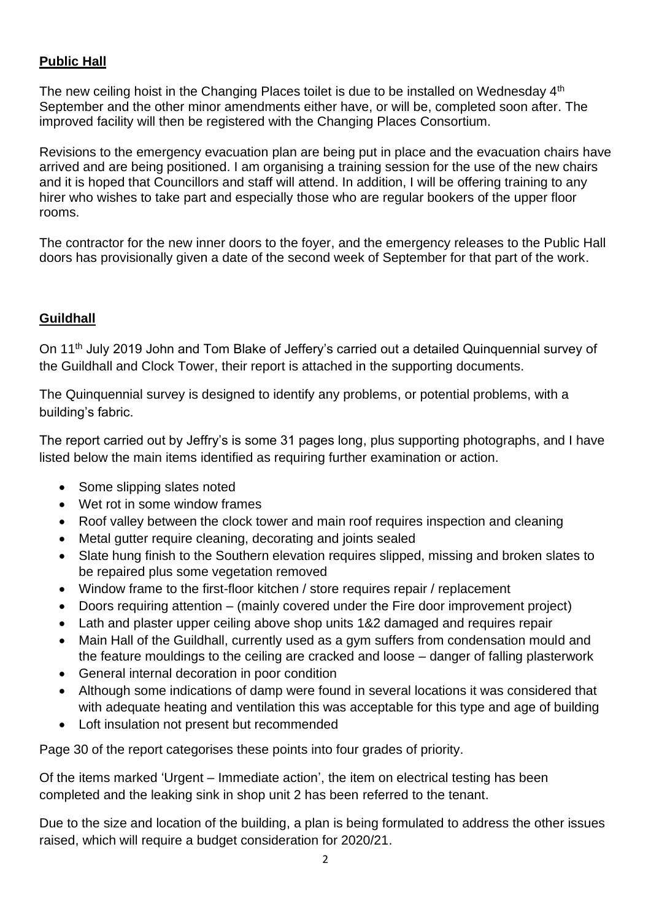# **Public Hall**

The new ceiling hoist in the Changing Places toilet is due to be installed on Wednesday 4<sup>th</sup> September and the other minor amendments either have, or will be, completed soon after. The improved facility will then be registered with the Changing Places Consortium.

Revisions to the emergency evacuation plan are being put in place and the evacuation chairs have arrived and are being positioned. I am organising a training session for the use of the new chairs and it is hoped that Councillors and staff will attend. In addition, I will be offering training to any hirer who wishes to take part and especially those who are regular bookers of the upper floor rooms.

The contractor for the new inner doors to the foyer, and the emergency releases to the Public Hall doors has provisionally given a date of the second week of September for that part of the work.

# **Guildhall**

On 11<sup>th</sup> July 2019 John and Tom Blake of Jeffery's carried out a detailed Quinquennial survey of the Guildhall and Clock Tower, their report is attached in the supporting documents.

The Quinquennial survey is designed to identify any problems, or potential problems, with a building's fabric.

The report carried out by Jeffry's is some 31 pages long, plus supporting photographs, and I have listed below the main items identified as requiring further examination or action.

- Some slipping slates noted
- Wet rot in some window frames
- Roof valley between the clock tower and main roof requires inspection and cleaning
- Metal gutter require cleaning, decorating and joints sealed
- Slate hung finish to the Southern elevation requires slipped, missing and broken slates to be repaired plus some vegetation removed
- Window frame to the first-floor kitchen / store requires repair / replacement
- Doors requiring attention (mainly covered under the Fire door improvement project)
- Lath and plaster upper ceiling above shop units 1&2 damaged and requires repair
- Main Hall of the Guildhall, currently used as a gym suffers from condensation mould and the feature mouldings to the ceiling are cracked and loose – danger of falling plasterwork
- General internal decoration in poor condition
- Although some indications of damp were found in several locations it was considered that with adequate heating and ventilation this was acceptable for this type and age of building
- Loft insulation not present but recommended

Page 30 of the report categorises these points into four grades of priority.

Of the items marked 'Urgent – Immediate action', the item on electrical testing has been completed and the leaking sink in shop unit 2 has been referred to the tenant.

Due to the size and location of the building, a plan is being formulated to address the other issues raised, which will require a budget consideration for 2020/21.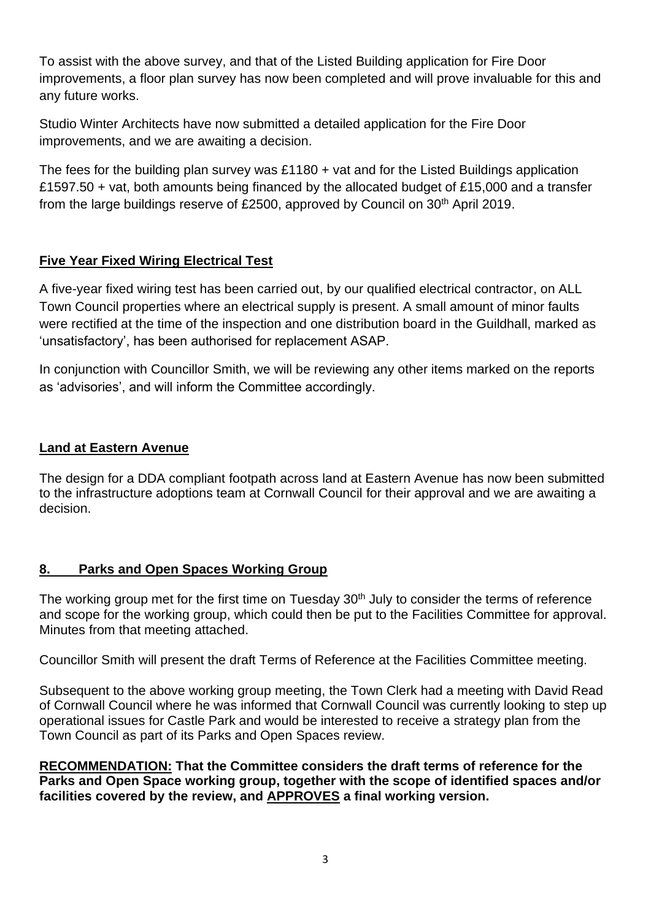To assist with the above survey, and that of the Listed Building application for Fire Door improvements, a floor plan survey has now been completed and will prove invaluable for this and any future works.

Studio Winter Architects have now submitted a detailed application for the Fire Door improvements, and we are awaiting a decision.

The fees for the building plan survey was £1180 + vat and for the Listed Buildings application £1597.50 + vat, both amounts being financed by the allocated budget of £15,000 and a transfer from the large buildings reserve of £2500, approved by Council on 30<sup>th</sup> April 2019.

# **Five Year Fixed Wiring Electrical Test**

A five-year fixed wiring test has been carried out, by our qualified electrical contractor, on ALL Town Council properties where an electrical supply is present. A small amount of minor faults were rectified at the time of the inspection and one distribution board in the Guildhall, marked as 'unsatisfactory', has been authorised for replacement ASAP.

In conjunction with Councillor Smith, we will be reviewing any other items marked on the reports as 'advisories', and will inform the Committee accordingly.

#### **Land at Eastern Avenue**

The design for a DDA compliant footpath across land at Eastern Avenue has now been submitted to the infrastructure adoptions team at Cornwall Council for their approval and we are awaiting a decision.

#### **8. Parks and Open Spaces Working Group**

The working group met for the first time on Tuesday 30<sup>th</sup> July to consider the terms of reference and scope for the working group, which could then be put to the Facilities Committee for approval. Minutes from that meeting attached.

Councillor Smith will present the draft Terms of Reference at the Facilities Committee meeting.

Subsequent to the above working group meeting, the Town Clerk had a meeting with David Read of Cornwall Council where he was informed that Cornwall Council was currently looking to step up operational issues for Castle Park and would be interested to receive a strategy plan from the Town Council as part of its Parks and Open Spaces review.

**RECOMMENDATION: That the Committee considers the draft terms of reference for the Parks and Open Space working group, together with the scope of identified spaces and/or facilities covered by the review, and APPROVES a final working version.**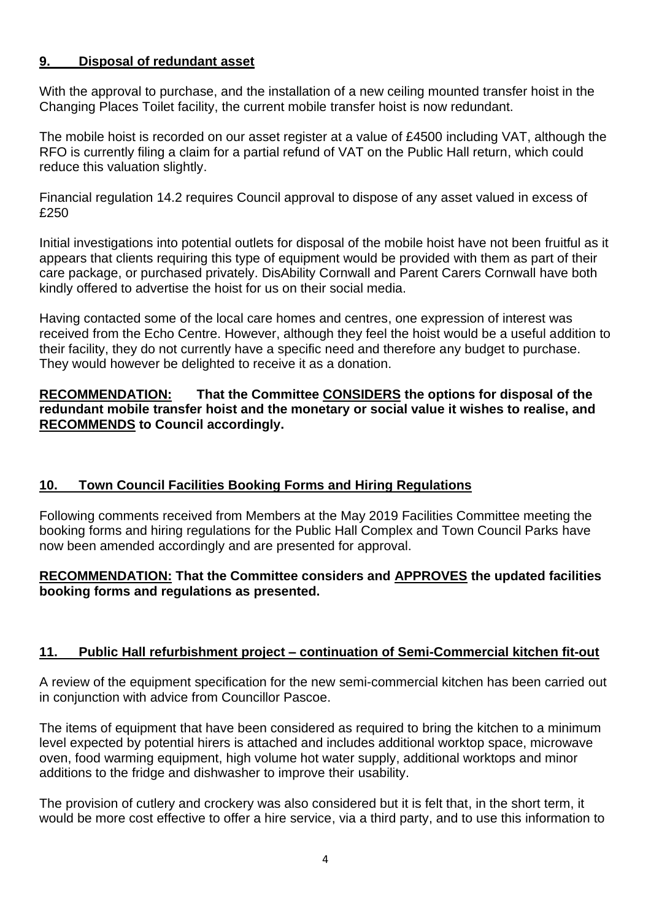# **9. Disposal of redundant asset**

With the approval to purchase, and the installation of a new ceiling mounted transfer hoist in the Changing Places Toilet facility, the current mobile transfer hoist is now redundant.

The mobile hoist is recorded on our asset register at a value of £4500 including VAT, although the RFO is currently filing a claim for a partial refund of VAT on the Public Hall return, which could reduce this valuation slightly.

Financial regulation 14.2 requires Council approval to dispose of any asset valued in excess of £250

Initial investigations into potential outlets for disposal of the mobile hoist have not been fruitful as it appears that clients requiring this type of equipment would be provided with them as part of their care package, or purchased privately. DisAbility Cornwall and Parent Carers Cornwall have both kindly offered to advertise the hoist for us on their social media.

Having contacted some of the local care homes and centres, one expression of interest was received from the Echo Centre. However, although they feel the hoist would be a useful addition to their facility, they do not currently have a specific need and therefore any budget to purchase. They would however be delighted to receive it as a donation.

#### **RECOMMENDATION: That the Committee CONSIDERS the options for disposal of the redundant mobile transfer hoist and the monetary or social value it wishes to realise, and RECOMMENDS to Council accordingly.**

# **10. Town Council Facilities Booking Forms and Hiring Regulations**

Following comments received from Members at the May 2019 Facilities Committee meeting the booking forms and hiring regulations for the Public Hall Complex and Town Council Parks have now been amended accordingly and are presented for approval.

#### **RECOMMENDATION: That the Committee considers and APPROVES the updated facilities booking forms and regulations as presented.**

# **11. Public Hall refurbishment project – continuation of Semi-Commercial kitchen fit-out**

A review of the equipment specification for the new semi-commercial kitchen has been carried out in conjunction with advice from Councillor Pascoe.

The items of equipment that have been considered as required to bring the kitchen to a minimum level expected by potential hirers is attached and includes additional worktop space, microwave oven, food warming equipment, high volume hot water supply, additional worktops and minor additions to the fridge and dishwasher to improve their usability.

The provision of cutlery and crockery was also considered but it is felt that, in the short term, it would be more cost effective to offer a hire service, via a third party, and to use this information to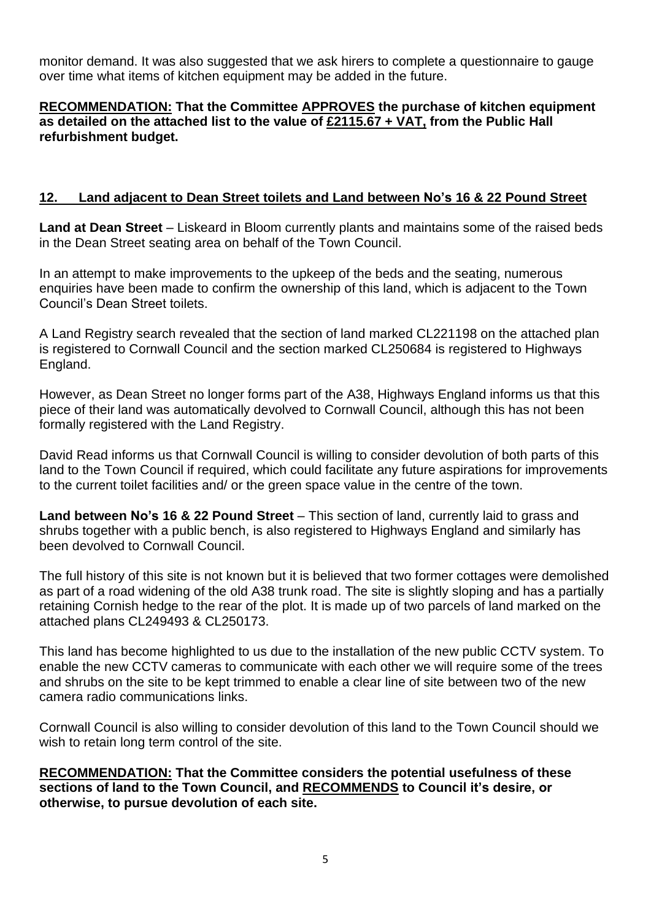monitor demand. It was also suggested that we ask hirers to complete a questionnaire to gauge over time what items of kitchen equipment may be added in the future.

#### **RECOMMENDATION: That the Committee APPROVES the purchase of kitchen equipment as detailed on the attached list to the value of £2115.67 + VAT, from the Public Hall refurbishment budget.**

#### **12. Land adjacent to Dean Street toilets and Land between No's 16 & 22 Pound Street**

**Land at Dean Street** – Liskeard in Bloom currently plants and maintains some of the raised beds in the Dean Street seating area on behalf of the Town Council.

In an attempt to make improvements to the upkeep of the beds and the seating, numerous enquiries have been made to confirm the ownership of this land, which is adjacent to the Town Council's Dean Street toilets.

A Land Registry search revealed that the section of land marked CL221198 on the attached plan is registered to Cornwall Council and the section marked CL250684 is registered to Highways England.

However, as Dean Street no longer forms part of the A38, Highways England informs us that this piece of their land was automatically devolved to Cornwall Council, although this has not been formally registered with the Land Registry.

David Read informs us that Cornwall Council is willing to consider devolution of both parts of this land to the Town Council if required, which could facilitate any future aspirations for improvements to the current toilet facilities and/ or the green space value in the centre of the town.

**Land between No's 16 & 22 Pound Street** – This section of land, currently laid to grass and shrubs together with a public bench, is also registered to Highways England and similarly has been devolved to Cornwall Council.

The full history of this site is not known but it is believed that two former cottages were demolished as part of a road widening of the old A38 trunk road. The site is slightly sloping and has a partially retaining Cornish hedge to the rear of the plot. It is made up of two parcels of land marked on the attached plans CL249493 & CL250173.

This land has become highlighted to us due to the installation of the new public CCTV system. To enable the new CCTV cameras to communicate with each other we will require some of the trees and shrubs on the site to be kept trimmed to enable a clear line of site between two of the new camera radio communications links.

Cornwall Council is also willing to consider devolution of this land to the Town Council should we wish to retain long term control of the site.

**RECOMMENDATION: That the Committee considers the potential usefulness of these sections of land to the Town Council, and RECOMMENDS to Council it's desire, or otherwise, to pursue devolution of each site.**